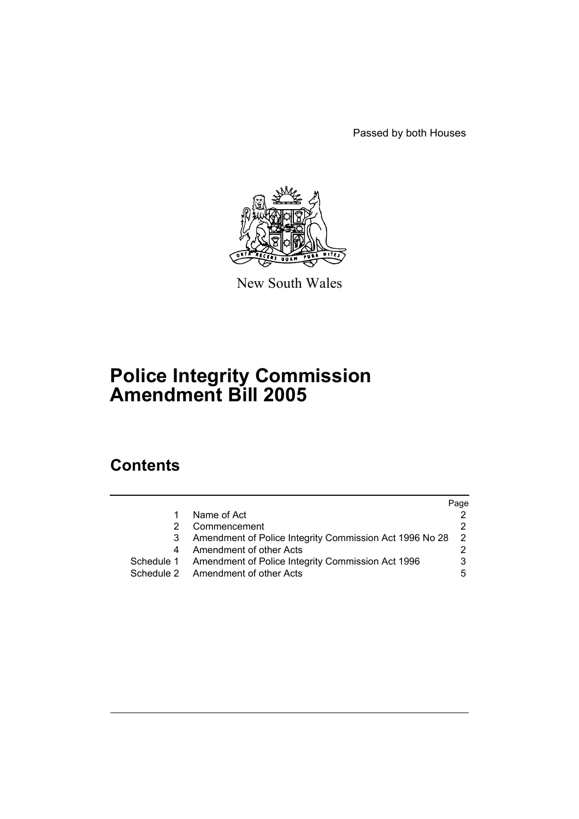Passed by both Houses



New South Wales

# **Police Integrity Commission Amendment Bill 2005**

# **Contents**

|            |                                                         | Page |
|------------|---------------------------------------------------------|------|
|            | Name of Act                                             |      |
|            | Commencement                                            |      |
|            | Amendment of Police Integrity Commission Act 1996 No 28 |      |
|            | Amendment of other Acts                                 |      |
| Schedule 1 | Amendment of Police Integrity Commission Act 1996       |      |
|            | Schedule 2 Amendment of other Acts                      | 5    |
|            |                                                         |      |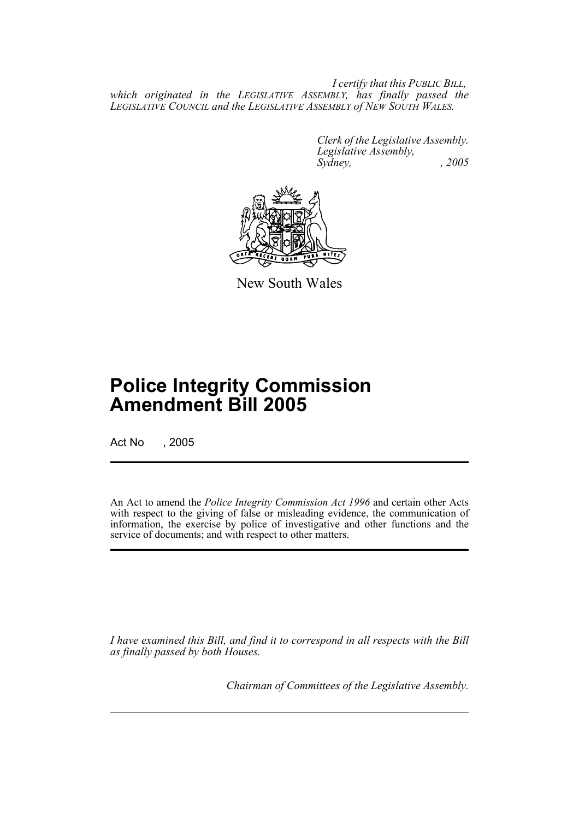*I certify that this PUBLIC BILL, which originated in the LEGISLATIVE ASSEMBLY, has finally passed the LEGISLATIVE COUNCIL and the LEGISLATIVE ASSEMBLY of NEW SOUTH WALES.*

> *Clerk of the Legislative Assembly. Legislative Assembly, Sydney, , 2005*



New South Wales

# **Police Integrity Commission Amendment Bill 2005**

Act No , 2005

An Act to amend the *Police Integrity Commission Act 1996* and certain other Acts with respect to the giving of false or misleading evidence, the communication of information, the exercise by police of investigative and other functions and the service of documents; and with respect to other matters.

*I have examined this Bill, and find it to correspond in all respects with the Bill as finally passed by both Houses.*

*Chairman of Committees of the Legislative Assembly.*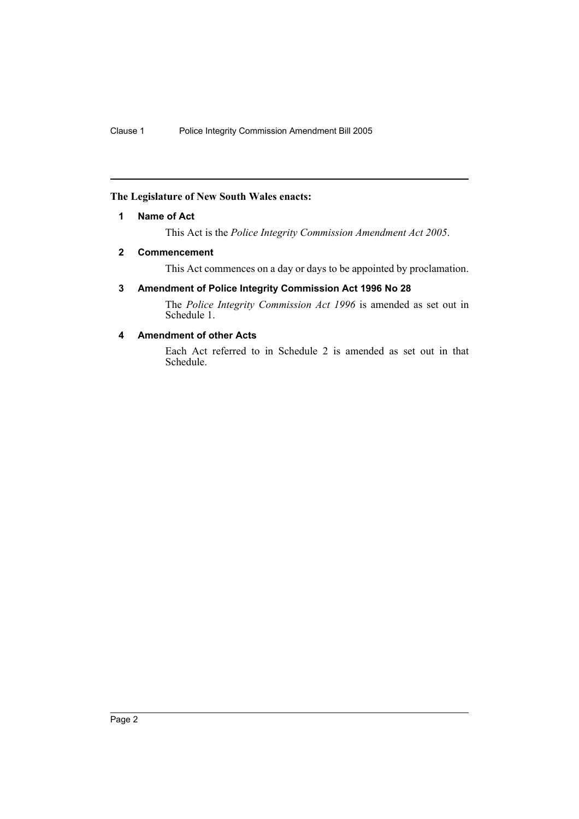# **The Legislature of New South Wales enacts:**

#### **1 Name of Act**

This Act is the *Police Integrity Commission Amendment Act 2005*.

# **2 Commencement**

This Act commences on a day or days to be appointed by proclamation.

# **3 Amendment of Police Integrity Commission Act 1996 No 28**

The *Police Integrity Commission Act 1996* is amended as set out in Schedule 1.

### **4 Amendment of other Acts**

Each Act referred to in Schedule 2 is amended as set out in that Schedule.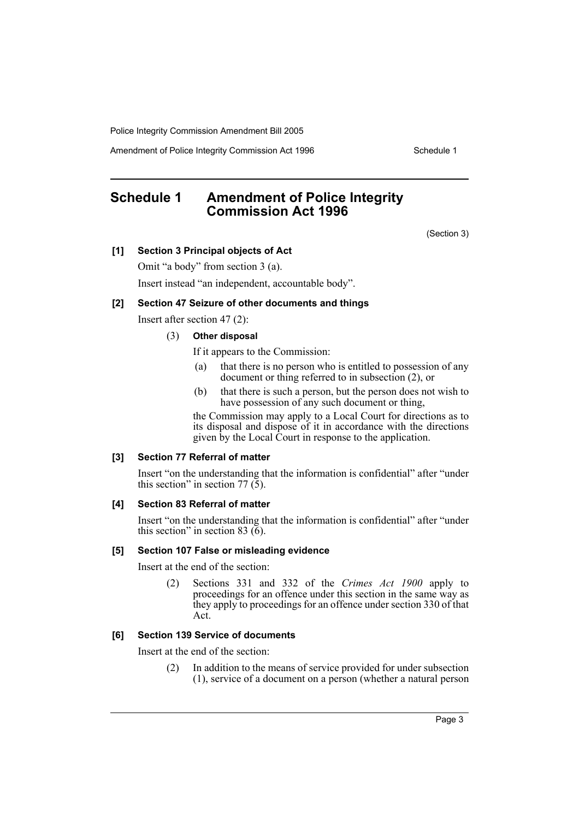Amendment of Police Integrity Commission Act 1996 Schedule 1

# **Schedule 1 Amendment of Police Integrity Commission Act 1996**

(Section 3)

#### **[1] Section 3 Principal objects of Act**

Omit "a body" from section 3 (a).

Insert instead "an independent, accountable body".

#### **[2] Section 47 Seizure of other documents and things**

Insert after section 47 (2):

# (3) **Other disposal**

If it appears to the Commission:

- (a) that there is no person who is entitled to possession of any document or thing referred to in subsection (2), or
- (b) that there is such a person, but the person does not wish to have possession of any such document or thing,

the Commission may apply to a Local Court for directions as to its disposal and dispose of it in accordance with the directions given by the Local Court in response to the application.

#### **[3] Section 77 Referral of matter**

Insert "on the understanding that the information is confidential" after "under this section" in section 77  $(5)$ .

#### **[4] Section 83 Referral of matter**

Insert "on the understanding that the information is confidential" after "under this section" in section 83  $(6)$ .

#### **[5] Section 107 False or misleading evidence**

Insert at the end of the section:

(2) Sections 331 and 332 of the *Crimes Act 1900* apply to proceedings for an offence under this section in the same way as they apply to proceedings for an offence under section 330 of that Act.

#### **[6] Section 139 Service of documents**

Insert at the end of the section:

(2) In addition to the means of service provided for under subsection (1), service of a document on a person (whether a natural person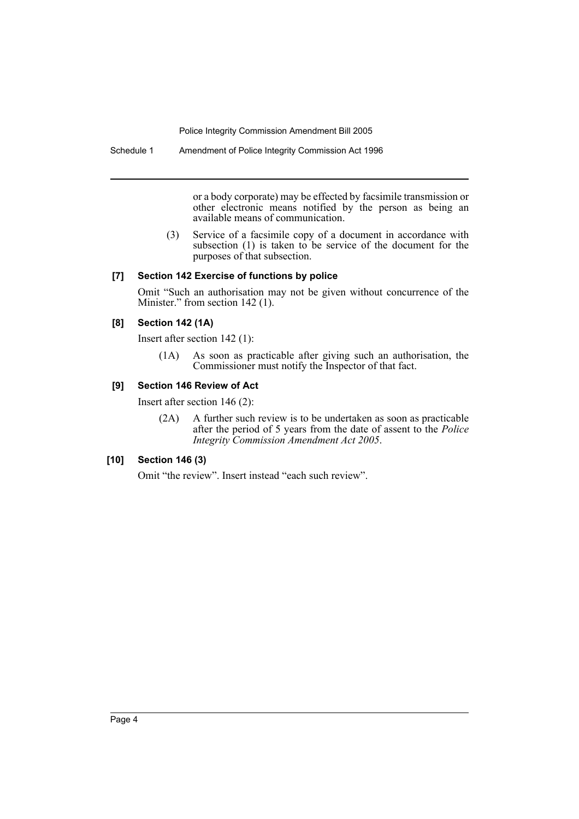Schedule 1 Amendment of Police Integrity Commission Act 1996

or a body corporate) may be effected by facsimile transmission or other electronic means notified by the person as being an available means of communication.

(3) Service of a facsimile copy of a document in accordance with subsection  $(1)$  is taken to be service of the document for the purposes of that subsection.

## **[7] Section 142 Exercise of functions by police**

Omit "Such an authorisation may not be given without concurrence of the Minister." from section 142 (1).

# **[8] Section 142 (1A)**

Insert after section 142 (1):

(1A) As soon as practicable after giving such an authorisation, the Commissioner must notify the Inspector of that fact.

## **[9] Section 146 Review of Act**

Insert after section 146 (2):

(2A) A further such review is to be undertaken as soon as practicable after the period of 5 years from the date of assent to the *Police Integrity Commission Amendment Act 2005*.

## **[10] Section 146 (3)**

Omit "the review". Insert instead "each such review".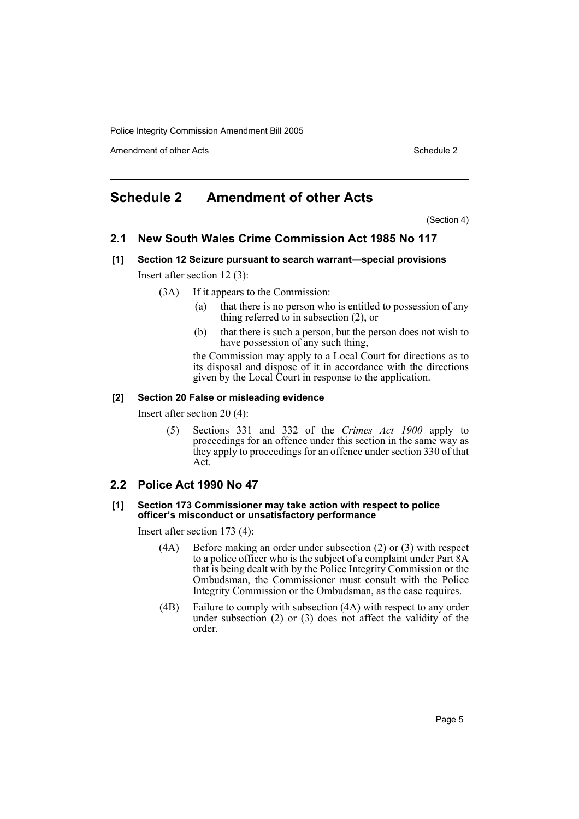Amendment of other Acts **Schedule 2** and the 2 and 2 and 2 and 2 and 2 and 2 and 2 and 2 and 2 and 2 and 2 and 2 and 2 and 2 and 2 and 2 and 2 and 2 and 2 and 2 and 2 and 2 and 2 and 2 and 2 and 2 and 2 and 2 and 2 and 2 a

# **Schedule 2 Amendment of other Acts**

(Section 4)

# **2.1 New South Wales Crime Commission Act 1985 No 117**

#### **[1] Section 12 Seizure pursuant to search warrant—special provisions**

Insert after section 12 (3):

- (3A) If it appears to the Commission:
	- (a) that there is no person who is entitled to possession of any thing referred to in subsection  $(2)$ , or
	- (b) that there is such a person, but the person does not wish to have possession of any such thing,

the Commission may apply to a Local Court for directions as to its disposal and dispose of it in accordance with the directions given by the Local Court in response to the application.

#### **[2] Section 20 False or misleading evidence**

Insert after section 20 (4):

(5) Sections 331 and 332 of the *Crimes Act 1900* apply to proceedings for an offence under this section in the same way as they apply to proceedings for an offence under section 330 of that Act.

# **2.2 Police Act 1990 No 47**

#### **[1] Section 173 Commissioner may take action with respect to police officer's misconduct or unsatisfactory performance**

Insert after section 173 (4):

- (4A) Before making an order under subsection (2) or (3) with respect to a police officer who is the subject of a complaint under Part 8A that is being dealt with by the Police Integrity Commission or the Ombudsman, the Commissioner must consult with the Police Integrity Commission or the Ombudsman, as the case requires.
- (4B) Failure to comply with subsection (4A) with respect to any order under subsection (2) or (3) does not affect the validity of the order.